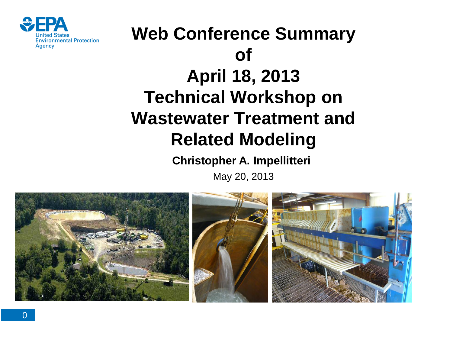

# **Web Conference Summary of April 18, 2013 Technical Workshop on Wastewater Treatment and Related Modeling**

#### **Christopher A. Impellitteri**

May 20, 2013

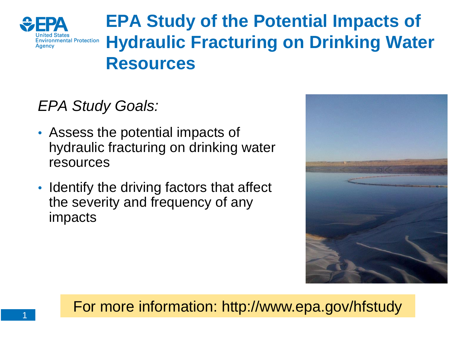

# **EPA Study of the Potential Impacts of Hydraulic Fracturing on Drinking Water Resources**

### *EPA Study Goals:*

- Assess the potential impacts of hydraulic fracturing on drinking water resources
- Identify the driving factors that affect the severity and frequency of any impacts



For more information: http://www.epa.gov/hfstudy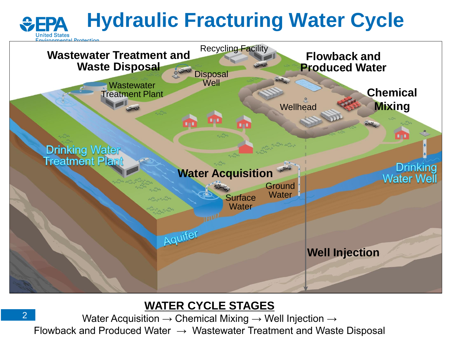#### **Hydraulic Fracturing Water Cycle**   $EPA$



#### **WATER CYCLE STAGES**

2 Water Acquisition  $\rightarrow$  Chemical Mixing  $\rightarrow$  Well Injection  $\rightarrow$ Flowback and Produced Water  $\rightarrow$  Wastewater Treatment and Waste Disposal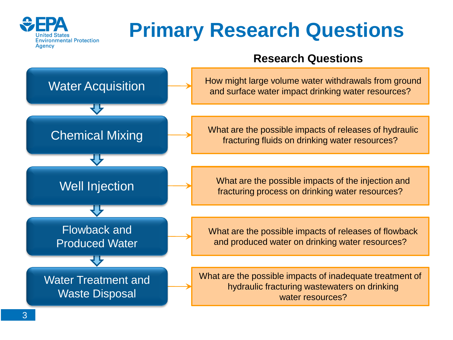

# **Primary Research Questions**

#### **Research Questions**

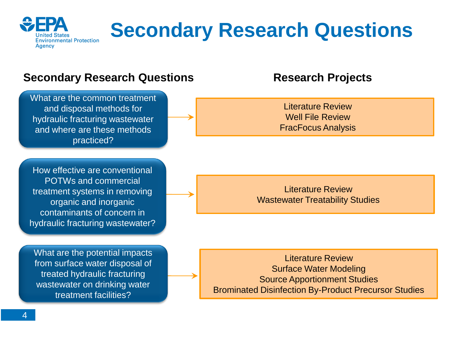

# **Secondary Research Questions**

#### **Secondary Research Questions The Research Projects**

What are the common treatment and disposal methods for hydraulic fracturing wastewater and where are these methods practiced?

How effective are conventional POTWs and commercial treatment systems in removing organic and inorganic contaminants of concern in hydraulic fracturing wastewater?

What are the potential impacts from surface water disposal of treated hydraulic fracturing wastewater on drinking water treatment facilities?

Literature Review Well File Review FracFocus Analysis

Literature Review Wastewater Treatability Studies

Literature Review Surface Water Modeling Source Apportionment Studies Brominated Disinfection By-Product Precursor Studies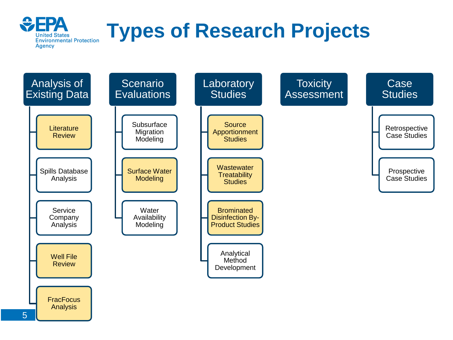

# **Types of Research Projects**

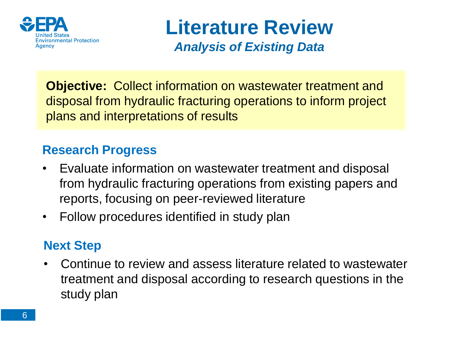

**Literature Review**  *Analysis of Existing Data* 

**Objective:** Collect information on wastewater treatment and disposal from hydraulic fracturing operations to inform project plans and interpretations of results

#### **Research Progress**

- Evaluate information on wastewater treatment and disposal from hydraulic fracturing operations from existing papers and reports, focusing on peer-reviewed literature
- Follow procedures identified in study plan

#### **Next Step**

• Continue to review and assess literature related to wastewater treatment and disposal according to research questions in the study plan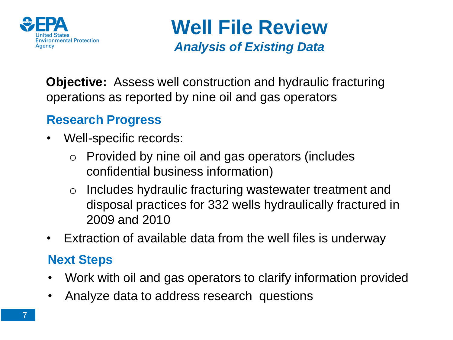

**Well File Review**  *Analysis of Existing Data* 

**Objective:** Assess well construction and hydraulic fracturing operations as reported by nine oil and gas operators

### **Research Progress**

- Well-specific records:
	- $\circ$  Provided by nine oil and gas operators (includes confidential business information)
	- o Includes hydraulic fracturing wastewater treatment and disposal practices for 332 wells hydraulically fractured in 2009 and 2010
- Extraction of available data from the well files is underway

#### **Next Steps**

- Work with oil and gas operators to clarify information provided
- Analyze data to address research questions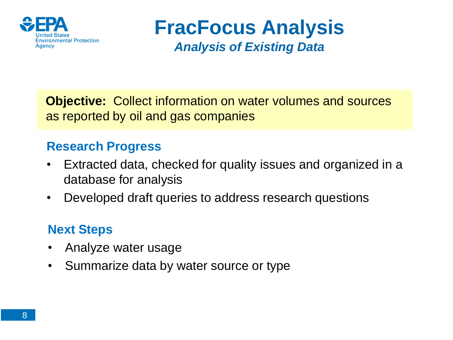

### **FracFocus Analysis**  *Analysis of Existing Data*

**Objective:** Collect information on water volumes and sources as reported by oil and gas companies

#### **Research Progress**

- Extracted data, checked for quality issues and organized in a database for analysis
- Developed draft queries to address research questions

### **Next Steps**

- Analyze water usage
- Summarize data by water source or type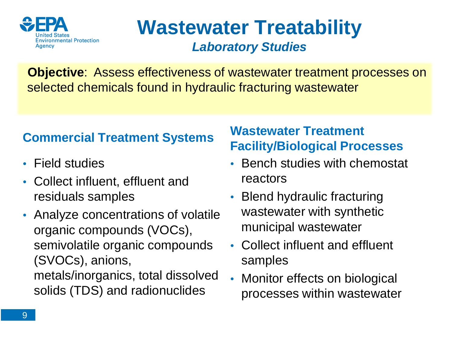

### **Wastewater Treatability**  *Laboratory Studies*

**Objective**: Assess effectiveness of wastewater treatment processes on selected chemicals found in hydraulic fracturing wastewater

#### **Commercial Treatment Systems**

- Field studies
- Collect influent, effluent and residuals samples
- Analyze concentrations of volatile organic compounds (VOCs), semivolatile organic compounds (SVOCs), anions, metals/inorganics, total dissolved solids (TDS) and radionuclides

#### **Wastewater Treatment Facility/Biological Processes**

- Bench studies with chemostat reactors
- Blend hydraulic fracturing wastewater with synthetic municipal wastewater
- Collect influent and effluent samples
- Monitor effects on biological processes within wastewater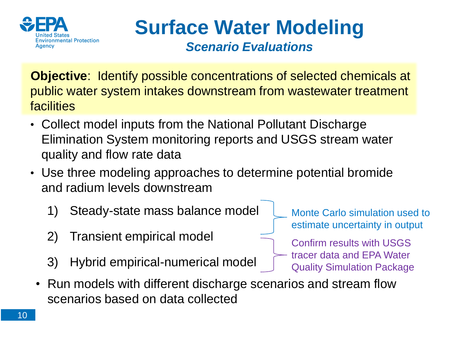

**Surface Water Modeling**  *Scenario Evaluations* 

**Objective**: Identify possible concentrations of selected chemicals at public water system intakes downstream from wastewater treatment **facilities** 

- Collect model inputs from the National Pollutant Discharge Elimination System monitoring reports and USGS stream water quality and flow rate data
- Use three modeling approaches to determine potential bromide and radium levels downstream
	- 1) Steady-state mass balance model
	- 2) Transient empirical model
	- 3) Hybrid empirical-numerical model
- Monte Carlo simulation used to estimate uncertainty in output
- Confirm results with USGS tracer data and EPA Water Quality Simulation Package
- Run models with different discharge scenarios and stream flow scenarios based on data collected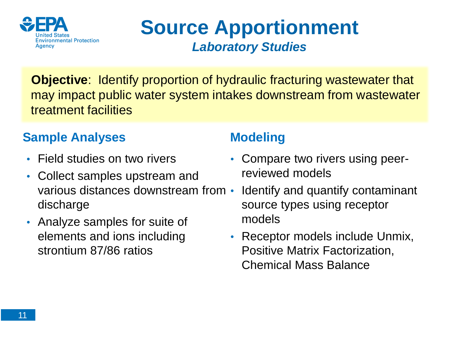

### **Source Apportionment**  *Laboratory Studies*

**Objective**: Identify proportion of hydraulic fracturing wastewater that may impact public water system intakes downstream from wastewater treatment facilities

### **Sample Analyses**

- Field studies on two rivers
- Collect samples upstream and various distances downstream from discharge
- Analyze samples for suite of elements and ions including strontium 87/86 ratios

### **Modeling**

- Compare two rivers using peerreviewed models
- Identify and quantify contaminant source types using receptor models
- Receptor models include Unmix, Positive Matrix Factorization, Chemical Mass Balance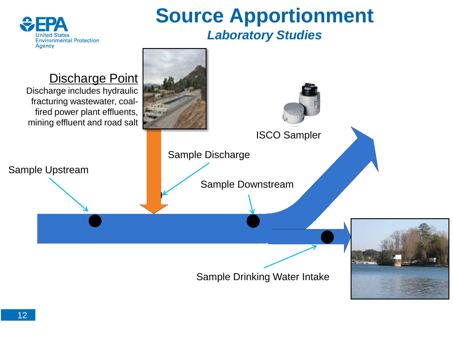

### **Source Apportionment**  *Laboratory Studies*

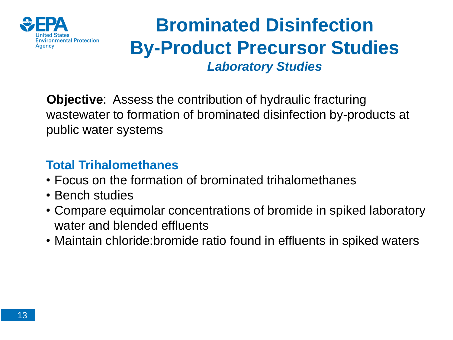

### **Brominated Disinfection By-Product Precursor Studies**  *Laboratory Studies*

**Objective**: Assess the contribution of hydraulic fracturing wastewater to formation of brominated disinfection by-products at public water systems

#### **Total Trihalomethanes**

- Focus on the formation of brominated trihalomethanes
- Bench studies
- Compare equimolar concentrations of bromide in spiked laboratory water and blended effluents
- Maintain chloride:bromide ratio found in effluents in spiked waters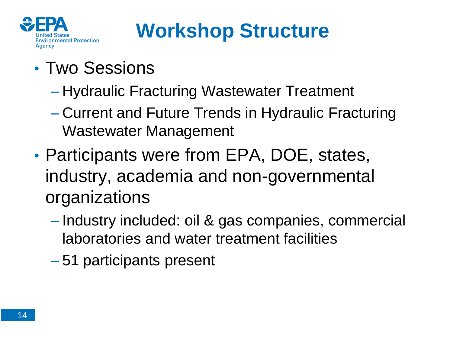

# **Workshop Structure**

- Two Sessions
	- Hydraulic Fracturing Wastewater Treatment
	- Current and Future Trends in Hydraulic Fracturing Wastewater Management
- Participants were from EPA, DOE, states, industry, academia and non-governmental organizations
	- Industry included: oil & gas companies, commercial laboratories and water treatment facilities
	- 51 participants present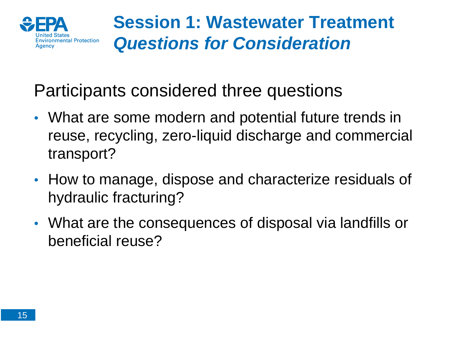

### **Session 1: Wastewater Treatment**  *Questions for Consideration*

### Participants considered three questions

- What are some modern and potential future trends in reuse, recycling, zero-liquid discharge and commercial transport?
- How to manage, dispose and characterize residuals of hydraulic fracturing?
- What are the consequences of disposal via landfills or beneficial reuse?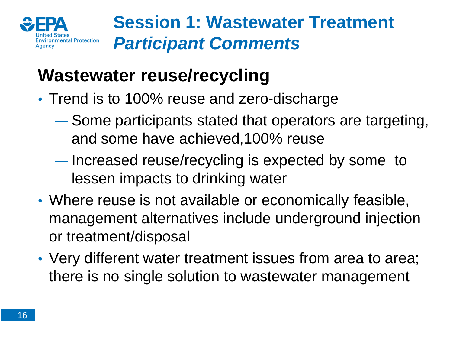

# **Wastewater reuse/recycling**

- Trend is to 100% reuse and zero-discharge
	- ― Some participants stated that operators are targeting, and some have achieved,100% reuse
	- ― Increased reuse/recycling is expected by some to lessen impacts to drinking water
- Where reuse is not available or economically feasible, management alternatives include underground injection or treatment/disposal
- Very different water treatment issues from area to area; there is no single solution to wastewater management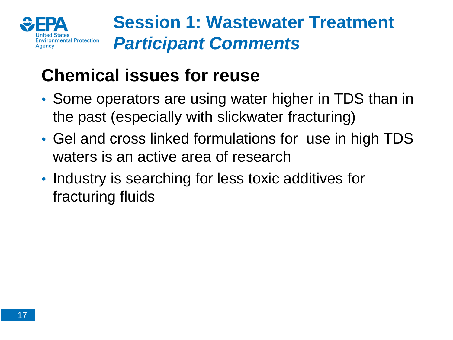

# **Chemical issues for reuse**

- Some operators are using water higher in TDS than in the past (especially with slickwater fracturing)
- Gel and cross linked formulations for use in high TDS waters is an active area of research
- Industry is searching for less toxic additives for fracturing fluids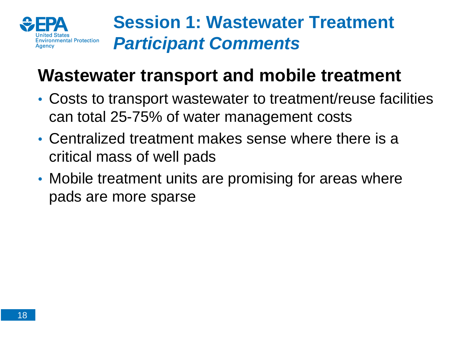

# **Wastewater transport and mobile treatment**

- Costs to transport wastewater to treatment/reuse facilities can total 25-75% of water management costs
- Centralized treatment makes sense where there is a critical mass of well pads
- Mobile treatment units are promising for areas where pads are more sparse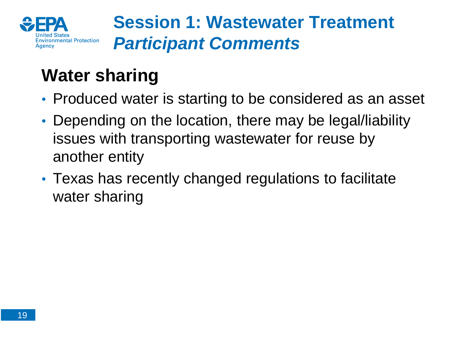

# **Water sharing**

- Produced water is starting to be considered as an asset
- Depending on the location, there may be legal/liability issues with transporting wastewater for reuse by another entity
- Texas has recently changed regulations to facilitate water sharing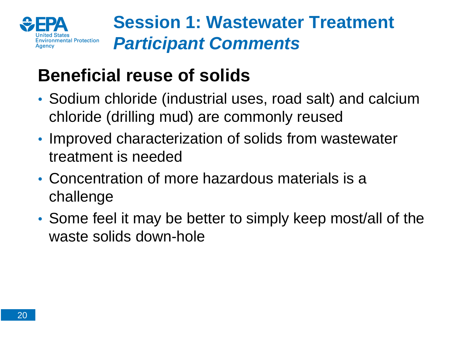

# **Beneficial reuse of solids**

- Sodium chloride (industrial uses, road salt) and calcium chloride (drilling mud) are commonly reused
- Improved characterization of solids from wastewater treatment is needed
- Concentration of more hazardous materials is a challenge
- Some feel it may be better to simply keep most/all of the waste solids down-hole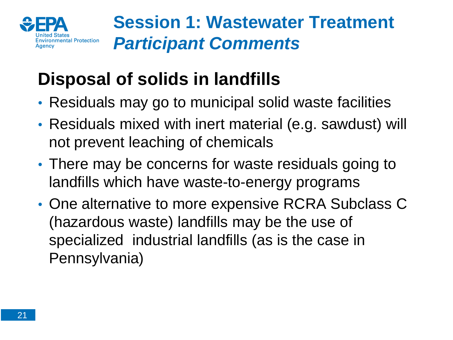

# **Disposal of solids in landfills**

- Residuals may go to municipal solid waste facilities
- Residuals mixed with inert material (e.g. sawdust) will not prevent leaching of chemicals
- There may be concerns for waste residuals going to landfills which have waste-to-energy programs
- One alternative to more expensive RCRA Subclass C (hazardous waste) landfills may be the use of specialized industrial landfills (as is the case in Pennsylvania)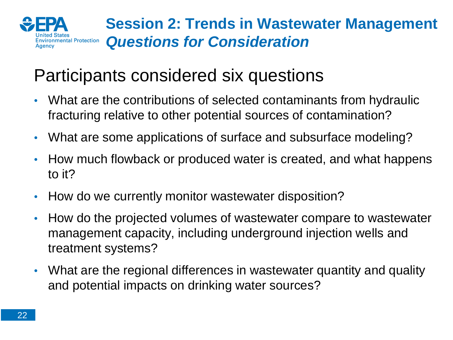

### **Session 2: Trends in Wastewater Management**  *Questions for Consideration*

# Participants considered six questions

- What are the contributions of selected contaminants from hydraulic fracturing relative to other potential sources of contamination?
- What are some applications of surface and subsurface modeling?
- How much flowback or produced water is created, and what happens to it?
- How do we currently monitor wastewater disposition?
- How do the projected volumes of wastewater compare to wastewater management capacity, including underground injection wells and treatment systems?
- What are the regional differences in wastewater quantity and quality and potential impacts on drinking water sources?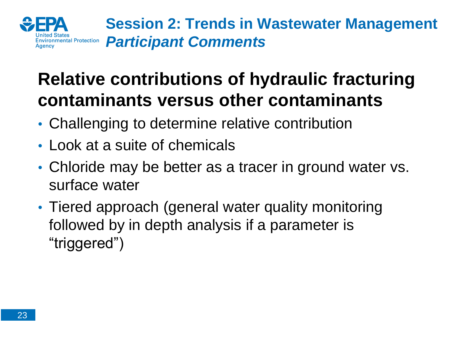

**Session 2: Trends in Wastewater Management**  *Participant Comments* 

# **Relative contributions of hydraulic fracturing contaminants versus other contaminants**

- Challenging to determine relative contribution
- Look at a suite of chemicals
- Chloride may be better as a tracer in ground water vs. surface water
- Tiered approach (general water quality monitoring followed by in depth analysis if a parameter is "triggered")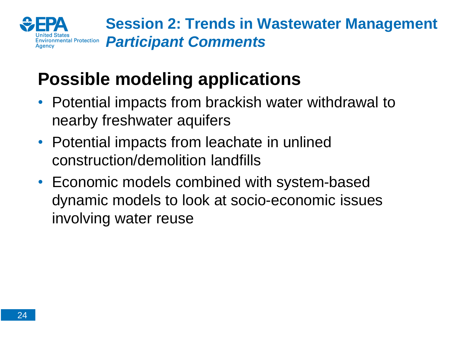

**Session 2: Trends in Wastewater Management**  *Participant Comments* 

# **Possible modeling applications**

- Potential impacts from brackish water withdrawal to nearby freshwater aquifers
- Potential impacts from leachate in unlined construction/demolition landfills
- Economic models combined with system-based dynamic models to look at socio-economic issues involving water reuse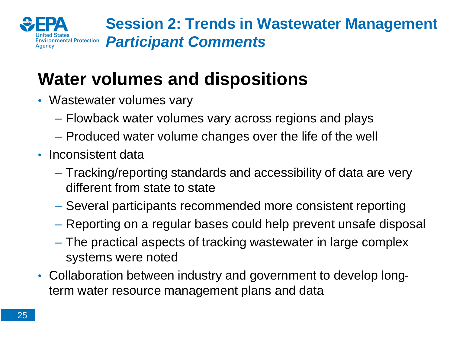

**Session 2: Trends in Wastewater Management**  *Participant Comments* 

# **Water volumes and dispositions**

- Wastewater volumes vary
	- Flowback water volumes vary across regions and plays
	- Produced water volume changes over the life of the well
- Inconsistent data
	- Tracking/reporting standards and accessibility of data are very different from state to state
	- Several participants recommended more consistent reporting
	- Reporting on a regular bases could help prevent unsafe disposal
	- The practical aspects of tracking wastewater in large complex systems were noted
- Collaboration between industry and government to develop longterm water resource management plans and data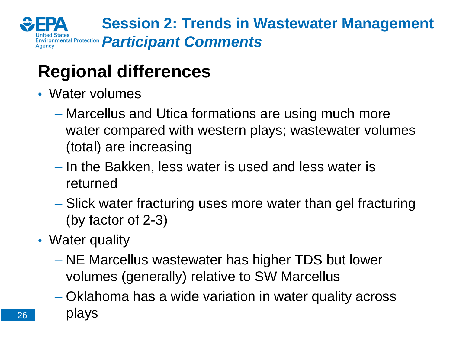

**Session 2: Trends in Wastewater Management**  *Environmental Protection Participant Comments* 

# **Regional differences**

- Water volumes
	- Marcellus and Utica formations are using much more water compared with western plays; wastewater volumes (total) are increasing
	- In the Bakken, less water is used and less water is returned
	- Slick water fracturing uses more water than gel fracturing (by factor of 2-3)
- Water quality
	- NE Marcellus wastewater has higher TDS but lower volumes (generally) relative to SW Marcellus
	- Oklahoma has a wide variation in water quality across plays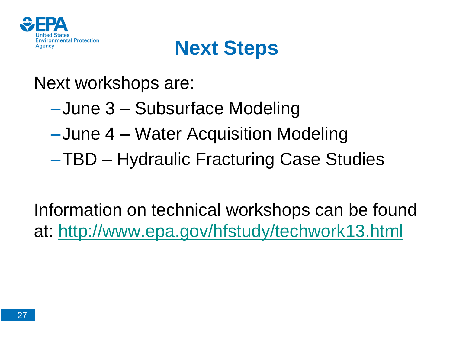

# **Next Steps**

### Next workshops are:

- –June 3 Subsurface Modeling
- –June 4 Water Acquisition Modeling
- –TBD Hydraulic Fracturing Case Studies

Information on technical workshops can be found at: <http://www.epa.gov/hfstudy/techwork13.html>